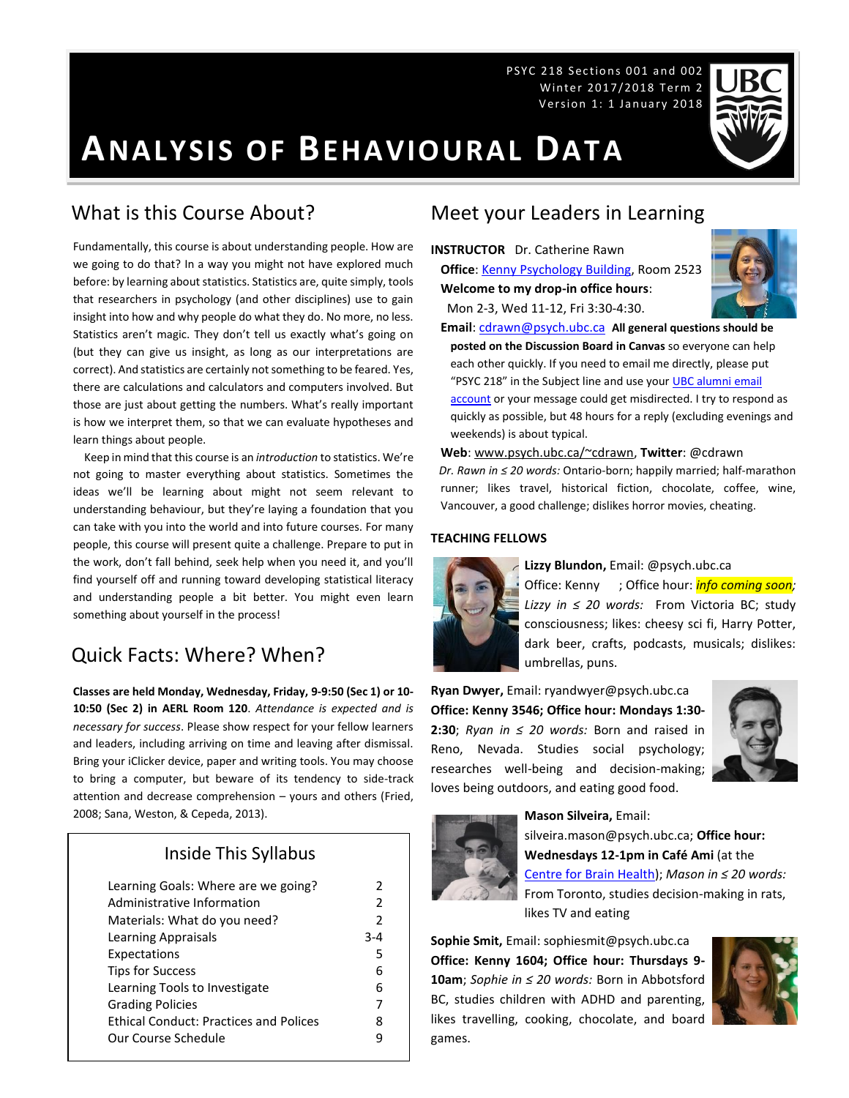PSYC 218 Sections 001 and 002 Winter 2017/2018 Term 2 Version 1: 1 January 2018



# **ANALYSIS OF BEHAVIOURAL DATA**

### What is this Course About?

Fundamentally, this course is about understanding people. How are we going to do that? In a way you might not have explored much before: by learning about statistics. Statistics are, quite simply, tools that researchers in psychology (and other disciplines) use to gain insight into how and why people do what they do. No more, no less. Statistics aren't magic. They don't tell us exactly what's going on (but they can give us insight, as long as our interpretations are correct). And statistics are certainly not something to be feared. Yes, there are calculations and calculators and computers involved. But those are just about getting the numbers. What's really important is how we interpret them, so that we can evaluate hypotheses and learn things about people.

 Keep in mind that this course is an *introduction* to statistics. We're not going to master everything about statistics. Sometimes the ideas we'll be learning about might not seem relevant to understanding behaviour, but they're laying a foundation that you can take with you into the world and into future courses. For many people, this course will present quite a challenge. Prepare to put in the work, don't fall behind, seek help when you need it, and you'll find yourself off and running toward developing statistical literacy and understanding people a bit better. You might even learn something about yourself in the process!

# Quick Facts: Where? When?

**Classes are held Monday, Wednesday, Friday, 9-9:50 (Sec 1) or 10- 10:50 (Sec 2) in AERL Room 120**. *Attendance is expected and is necessary for success*. Please show respect for your fellow learners and leaders, including arriving on time and leaving after dismissal. Bring your iClicker device, paper and writing tools. You may choose to bring a computer, but beware of its tendency to side-track attention and decrease comprehension – yours and others (Fried, 2008; Sana, Weston, & Cepeda, 2013).

### Inside This Syllabus

| Learning Goals: Where are we going?           | $\mathcal{P}$ |
|-----------------------------------------------|---------------|
| Administrative Information                    | $\mathcal{P}$ |
| Materials: What do you need?                  | $\mathcal{P}$ |
| Learning Appraisals                           | $3 - 4$       |
| Expectations                                  | 5             |
| <b>Tips for Success</b>                       | 6             |
| Learning Tools to Investigate                 | 6             |
| <b>Grading Policies</b>                       | 7             |
| <b>Ethical Conduct: Practices and Polices</b> | 8             |
| Our Course Schedule                           | 9             |
|                                               |               |

## Meet your Leaders in Learning

**INSTRUCTOR** Dr. Catherine Rawn **Office**[: Kenny Psychology Building,](http://www.maps.ubc.ca/PROD/index_detail.php?locat1=732) Room 2523 **Welcome to my drop-in office hours**:

Mon 2-3, Wed 11-12, Fri 3:30-4:30.



**Email**: [cdrawn@psych.ubc.ca](mailto:cdrawn@psych.ubc.ca) **All general questions should be posted on the Discussion Board in Canvas** so everyone can help each other quickly. If you need to email me directly, please put "PSYC 218" in the Subject line and use your UBC alumni email [account](http://it.ubc.ca/services/email-voice-internet/student-alumni-email-service) or your message could get misdirected. I try to respond as quickly as possible, but 48 hours for a reply (excluding evenings and weekends) is about typical.

**Web**[: www.psych.ubc.ca/~cdrawn,](http://www.psych.ubc.ca/~cdrawn) **Twitter**: @cdrawn *Dr. Rawn in ≤ 20 words:* Ontario-born; happily married; half-marathon runner; likes travel, historical fiction, chocolate, coffee, wine, Vancouver, a good challenge; dislikes horror movies, cheating.

#### **TEACHING FELLOWS**



**Lizzy Blundon,** Email: @psych.ubc.ca Office: Kenny ; Office hour: *info coming soon; Lizzy in ≤ 20 words:* From Victoria BC; study consciousness; likes: cheesy sci fi, Harry Potter, dark beer, crafts, podcasts, musicals; dislikes: umbrellas, puns.

**Ryan Dwyer,** Email: ryandwyer@psych.ubc.ca **Office: Kenny 3546; Office hour: Mondays 1:30- 2:30**; *Ryan in ≤ 20 words:* Born and raised in Reno, Nevada. Studies social psychology; researches well-being and decision-making; loves being outdoors, and eating good food.





**Mason Silveira,** Email:

silveira.mason@psych.ubc.ca; **Office hour: Wednesdays 12-1pm in Café Ami** (at the [Centre for Brain Health\)](http://maps.ubc.ca/PROD/index_detail.php?locat1=465); *Mason in ≤ 20 words:* From Toronto, studies decision-making in rats, likes TV and eating

**Sophie Smit,** Email: sophiesmit@psych.ubc.ca **Office: Kenny 1604; Office hour: Thursdays 9- 10am**; *Sophie in ≤ 20 words:* Born in Abbotsford BC, studies children with ADHD and parenting, likes travelling, cooking, chocolate, and board games.

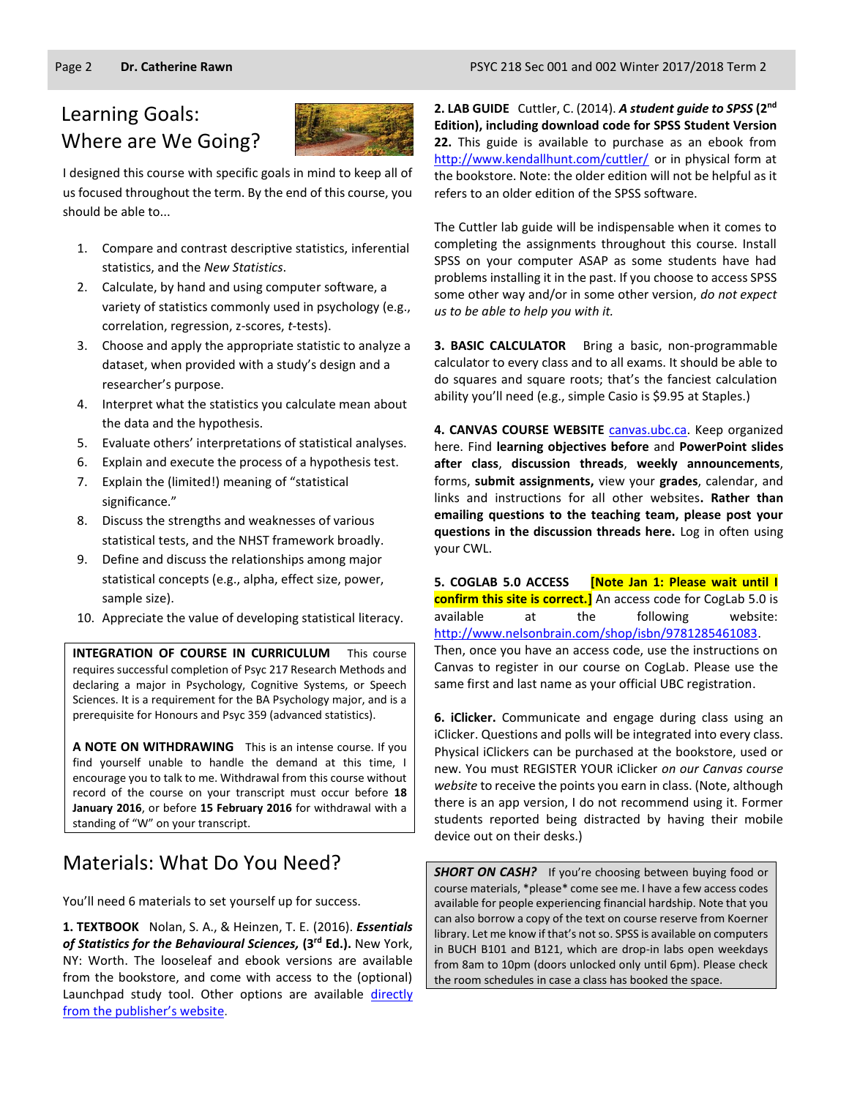# Learning Goals: Where are We Going?



I designed this course with specific goals in mind to keep all of us focused throughout the term. By the end of this course, you should be able to...

- 1. Compare and contrast descriptive statistics, inferential statistics, and the *New Statistics*.
- 2. Calculate, by hand and using computer software, a variety of statistics commonly used in psychology (e.g., correlation, regression, z-scores, *t*-tests).
- 3. Choose and apply the appropriate statistic to analyze a dataset, when provided with a study's design and a researcher's purpose.
- 4. Interpret what the statistics you calculate mean about the data and the hypothesis.
- 5. Evaluate others' interpretations of statistical analyses.
- 6. Explain and execute the process of a hypothesis test.
- 7. Explain the (limited!) meaning of "statistical significance."
- 8. Discuss the strengths and weaknesses of various statistical tests, and the NHST framework broadly.
- 9. Define and discuss the relationships among major statistical concepts (e.g., alpha, effect size, power, sample size).
- 10. Appreciate the value of developing statistical literacy.

**INTEGRATION OF COURSE IN CURRICULUM** This course requires successful completion of Psyc 217 Research Methods and declaring a major in Psychology, Cognitive Systems, or Speech Sciences. It is a requirement for the BA Psychology major, and is a prerequisite for Honours and Psyc 359 (advanced statistics).

**A NOTE ON WITHDRAWING** This is an intense course. If you find yourself unable to handle the demand at this time, I encourage you to talk to me. Withdrawal from this course without record of the course on your transcript must occur before **18 January 2016**, or before **15 February 2016** for withdrawal with a standing of "W" on your transcript.

# Materials: What Do You Need?

You'll need 6 materials to set yourself up for success.

**1. TEXTBOOK** Nolan, S. A., & Heinzen, T. E. (2016). *Essentials of Statistics for the Behavioural Sciences,* **(3 rd Ed.).** New York, NY: Worth. The looseleaf and ebook versions are available from the bookstore, and come with access to the (optional) Launchpad study tool. Other options are available directly [from the publishe](https://store.macmillanlearning.com/ca/product/Essentials-of-Statistics-for-the-Behavioral-Sciences/p/1464107777?searchText=Essentials%26%23x20%3bof%26%23x20%3bStatistics%26%23x20%3bfor%26%23x20%3bthe%26%23x20%3bBehavioral%26%23x20%3bSciences)r's website.

**2. LAB GUIDE** Cuttler, C. (2014). *A student guide to SPSS* **(2nd Edition), including download code for SPSS Student Version 22.** This guide is available to purchase as an ebook from <http://www.kendallhunt.com/cuttler/> or in physical form at the bookstore. Note: the older edition will not be helpful as it refers to an older edition of the SPSS software.

The Cuttler lab guide will be indispensable when it comes to completing the assignments throughout this course. Install SPSS on your computer ASAP as some students have had problems installing it in the past. If you choose to access SPSS some other way and/or in some other version, *do not expect us to be able to help you with it.*

**3. BASIC CALCULATOR** Bring a basic, non-programmable calculator to every class and to all exams. It should be able to do squares and square roots; that's the fanciest calculation ability you'll need (e.g., simple Casio is \$9.95 at Staples.)

**4. CANVAS COURSE WEBSITE** [canvas.ubc.ca.](https://canvas.ubc.ca/) Keep organized here. Find **learning objectives before** and **PowerPoint slides after class**, **discussion threads**, **weekly announcements**, forms, **submit assignments,** view your **grades**, calendar, and links and instructions for all other websites**. Rather than emailing questions to the teaching team, please post your questions in the discussion threads here.** Log in often using your CWL.

**5. COGLAB 5.0 ACCESS [Note Jan 1: Please wait until I confirm this site is correct.]** An access code for CogLab 5.0 is available at the following website: [http://www.nelsonbrain.com/shop/isbn/9781285461083.](http://www.nelsonbrain.com/shop/isbn/9781285461083) Then, once you have an access code, use the instructions on Canvas to register in our course on CogLab. Please use the same first and last name as your official UBC registration.

**6. iClicker.** Communicate and engage during class using an iClicker. Questions and polls will be integrated into every class. Physical iClickers can be purchased at the bookstore, used or new. You must REGISTER YOUR iClicker *on our Canvas course website* to receive the points you earn in class. (Note, although there is an app version, I do not recommend using it. Former students reported being distracted by having their mobile device out on their desks.)

*SHORT ON CASH?* If you're choosing between buying food or course materials, \*please\* come see me. I have a few access codes available for people experiencing financial hardship. Note that you can also borrow a copy of the text on course reserve from Koerner library. Let me know if that's not so. SPSS is available on computers in BUCH B101 and B121, which are drop-in labs open weekdays from 8am to 10pm (doors unlocked only until 6pm). Please check the room schedules in case a class has booked the space.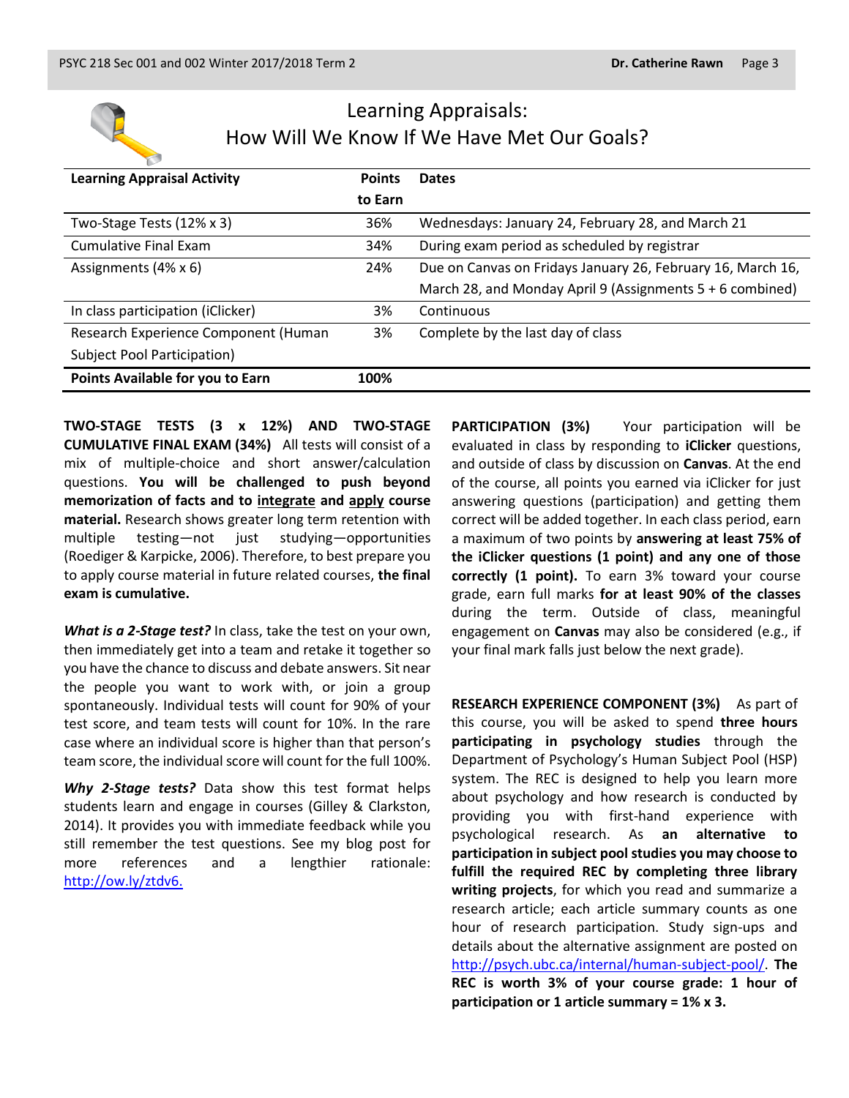

# Learning Appraisals: How Will We Know If We Have Met Our Goals?

| <b>Learning Appraisal Activity</b>   | <b>Points</b> | <b>Dates</b>                                                |
|--------------------------------------|---------------|-------------------------------------------------------------|
|                                      | to Earn       |                                                             |
| Two-Stage Tests (12% x 3)            | 36%           | Wednesdays: January 24, February 28, and March 21           |
| <b>Cumulative Final Exam</b>         | 34%           | During exam period as scheduled by registrar                |
| Assignments (4% x 6)                 | 24%           | Due on Canvas on Fridays January 26, February 16, March 16, |
|                                      |               | March 28, and Monday April 9 (Assignments $5 + 6$ combined) |
| In class participation (iClicker)    | 3%            | Continuous                                                  |
| Research Experience Component (Human | 3%            | Complete by the last day of class                           |
| <b>Subject Pool Participation)</b>   |               |                                                             |
| Points Available for you to Earn     | 100%          |                                                             |

**TWO-STAGE TESTS (3 x 12%) AND TWO-STAGE CUMULATIVE FINAL EXAM (34%)** All tests will consist of a mix of multiple-choice and short answer/calculation questions. **You will be challenged to push beyond memorization of facts and to integrate and apply course material.** Research shows greater long term retention with multiple testing—not just studying—opportunities (Roediger & Karpicke, 2006). Therefore, to best prepare you to apply course material in future related courses, **the final exam is cumulative.**

*What is a 2-Stage test?* In class, take the test on your own, then immediately get into a team and retake it together so you have the chance to discuss and debate answers. Sit near the people you want to work with, or join a group spontaneously. Individual tests will count for 90% of your test score, and team tests will count for 10%. In the rare case where an individual score is higher than that person's team score, the individual score will count for the full 100%.

*Why 2-Stage tests?* Data show this test format helps students learn and engage in courses (Gilley & Clarkston, 2014). It provides you with immediate feedback while you still remember the test questions. See my blog post for more references and a lengthier rationale: [http://ow.ly/ztdv6.](http://ow.ly/ztdv6)

**PARTICIPATION (3%)** Your participation will be evaluated in class by responding to **iClicker** questions, and outside of class by discussion on **Canvas**. At the end of the course, all points you earned via iClicker for just answering questions (participation) and getting them correct will be added together. In each class period, earn a maximum of two points by **answering at least 75% of the iClicker questions (1 point) and any one of those correctly (1 point).** To earn 3% toward your course grade, earn full marks **for at least 90% of the classes** during the term. Outside of class, meaningful engagement on **Canvas** may also be considered (e.g., if your final mark falls just below the next grade).

**RESEARCH EXPERIENCE COMPONENT (3%)** As part of this course, you will be asked to spend **three hours participating in psychology studies** through the Department of Psychology's Human Subject Pool (HSP) system. The REC is designed to help you learn more about psychology and how research is conducted by providing you with first-hand experience with psychological research. As **an alternative to participation in subject pool studies you may choose to fulfill the required REC by completing three library writing projects**, for which you read and summarize a research article; each article summary counts as one hour of research participation. Study sign-ups and details about the alternative assignment are posted on [http://psych.ubc.ca/internal/human-subject-pool/.](http://psych.ubc.ca/internal/human-subject-pool/) **The REC is worth 3% of your course grade: 1 hour of participation or 1 article summary = 1% x 3.**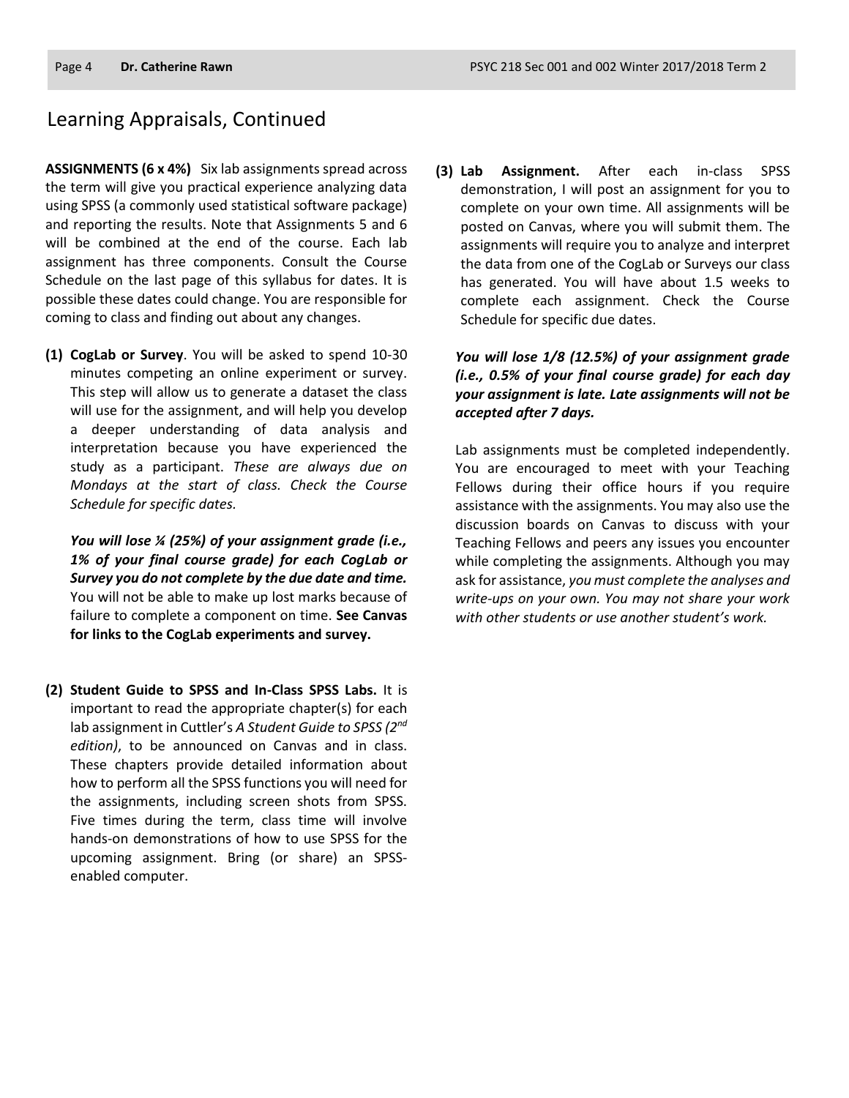### Learning Appraisals, Continued

**ASSIGNMENTS (6 x 4%)** Six lab assignments spread across the term will give you practical experience analyzing data using SPSS (a commonly used statistical software package) and reporting the results. Note that Assignments 5 and 6 will be combined at the end of the course. Each lab assignment has three components. Consult the Course Schedule on the last page of this syllabus for dates. It is possible these dates could change. You are responsible for coming to class and finding out about any changes.

**(1) CogLab or Survey**. You will be asked to spend 10-30 minutes competing an online experiment or survey. This step will allow us to generate a dataset the class will use for the assignment, and will help you develop a deeper understanding of data analysis and interpretation because you have experienced the study as a participant. *These are always due on Mondays at the start of class. Check the Course Schedule for specific dates.*

*You will lose ¼ (25%) of your assignment grade (i.e., 1% of your final course grade) for each CogLab or Survey you do not complete by the due date and time.* You will not be able to make up lost marks because of failure to complete a component on time. **See Canvas for links to the CogLab experiments and survey.**

**(2) Student Guide to SPSS and In-Class SPSS Labs.** It is important to read the appropriate chapter(s) for each lab assignment in Cuttler's *A Student Guide to SPSS (2nd edition)*, to be announced on Canvas and in class. These chapters provide detailed information about how to perform all the SPSS functions you will need for the assignments, including screen shots from SPSS. Five times during the term, class time will involve hands-on demonstrations of how to use SPSS for the upcoming assignment. Bring (or share) an SPSSenabled computer.

**(3) Lab Assignment.** After each in-class SPSS demonstration, I will post an assignment for you to complete on your own time. All assignments will be posted on Canvas, where you will submit them. The assignments will require you to analyze and interpret the data from one of the CogLab or Surveys our class has generated. You will have about 1.5 weeks to complete each assignment. Check the Course Schedule for specific due dates.

*You will lose 1/8 (12.5%) of your assignment grade (i.e., 0.5% of your final course grade) for each day your assignment is late. Late assignments will not be accepted after 7 days.*

Lab assignments must be completed independently. You are encouraged to meet with your Teaching Fellows during their office hours if you require assistance with the assignments. You may also use the discussion boards on Canvas to discuss with your Teaching Fellows and peers any issues you encounter while completing the assignments. Although you may ask for assistance, *you must complete the analyses and write-ups on your own. You may not share your work with other students or use another student's work.*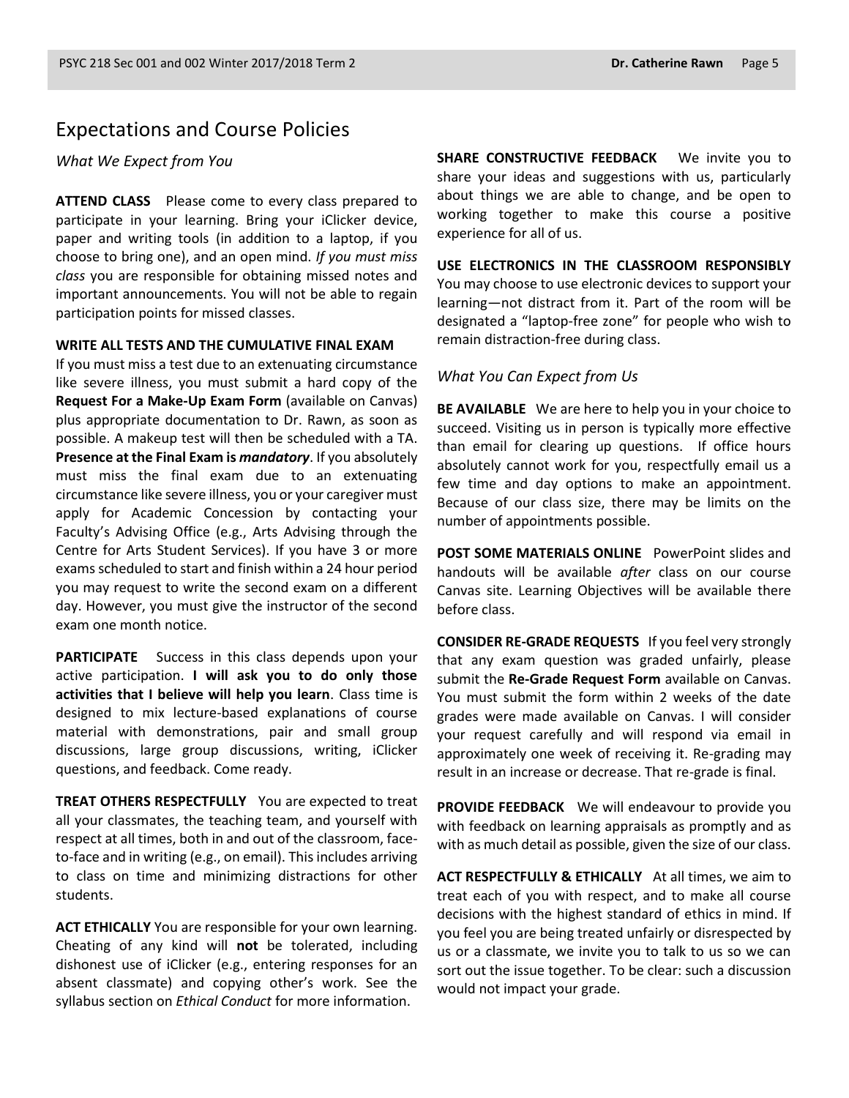### Expectations and Course Policies

*What We Expect from You*

**ATTEND CLASS** Please come to every class prepared to participate in your learning. Bring your iClicker device, paper and writing tools (in addition to a laptop, if you choose to bring one), and an open mind. *If you must miss class* you are responsible for obtaining missed notes and important announcements. You will not be able to regain participation points for missed classes.

#### **WRITE ALL TESTS AND THE CUMULATIVE FINAL EXAM**

If you must miss a test due to an extenuating circumstance like severe illness, you must submit a hard copy of the **Request For a Make-Up Exam Form** (available on Canvas) plus appropriate documentation to Dr. Rawn, as soon as possible. A makeup test will then be scheduled with a TA. **Presence at the Final Exam is** *mandatory*. If you absolutely must miss the final exam due to an extenuating circumstance like severe illness, you or your caregiver must apply for Academic Concession by contacting your Faculty's Advising Office (e.g., Arts Advising through the Centre for Arts Student Services). If you have 3 or more exams scheduled to start and finish within a 24 hour period you may request to write the second exam on a different day. However, you must give the instructor of the second exam one month notice.

**PARTICIPATE** Success in this class depends upon your active participation. **I will ask you to do only those activities that I believe will help you learn**. Class time is designed to mix lecture-based explanations of course material with demonstrations, pair and small group discussions, large group discussions, writing, iClicker questions, and feedback. Come ready.

**TREAT OTHERS RESPECTFULLY** You are expected to treat all your classmates, the teaching team, and yourself with respect at all times, both in and out of the classroom, faceto-face and in writing (e.g., on email). This includes arriving to class on time and minimizing distractions for other students.

**ACT ETHICALLY** You are responsible for your own learning. Cheating of any kind will **not** be tolerated, including dishonest use of iClicker (e.g., entering responses for an absent classmate) and copying other's work. See the syllabus section on *Ethical Conduct* for more information.

**SHARE CONSTRUCTIVE FEEDBACK** We invite you to share your ideas and suggestions with us, particularly about things we are able to change, and be open to working together to make this course a positive experience for all of us.

**USE ELECTRONICS IN THE CLASSROOM RESPONSIBLY** You may choose to use electronic devices to support your learning—not distract from it. Part of the room will be designated a "laptop-free zone" for people who wish to remain distraction-free during class.

#### *What You Can Expect from Us*

**BE AVAILABLE** We are here to help you in your choice to succeed. Visiting us in person is typically more effective than email for clearing up questions. If office hours absolutely cannot work for you, respectfully email us a few time and day options to make an appointment. Because of our class size, there may be limits on the number of appointments possible.

**POST SOME MATERIALS ONLINE** PowerPoint slides and handouts will be available *after* class on our course Canvas site. Learning Objectives will be available there before class.

**CONSIDER RE-GRADE REQUESTS** If you feel very strongly that any exam question was graded unfairly, please submit the **Re-Grade Request Form** available on Canvas. You must submit the form within 2 weeks of the date grades were made available on Canvas. I will consider your request carefully and will respond via email in approximately one week of receiving it. Re-grading may result in an increase or decrease. That re-grade is final.

**PROVIDE FEEDBACK** We will endeavour to provide you with feedback on learning appraisals as promptly and as with as much detail as possible, given the size of our class.

**ACT RESPECTFULLY & ETHICALLY** At all times, we aim to treat each of you with respect, and to make all course decisions with the highest standard of ethics in mind. If you feel you are being treated unfairly or disrespected by us or a classmate, we invite you to talk to us so we can sort out the issue together. To be clear: such a discussion would not impact your grade.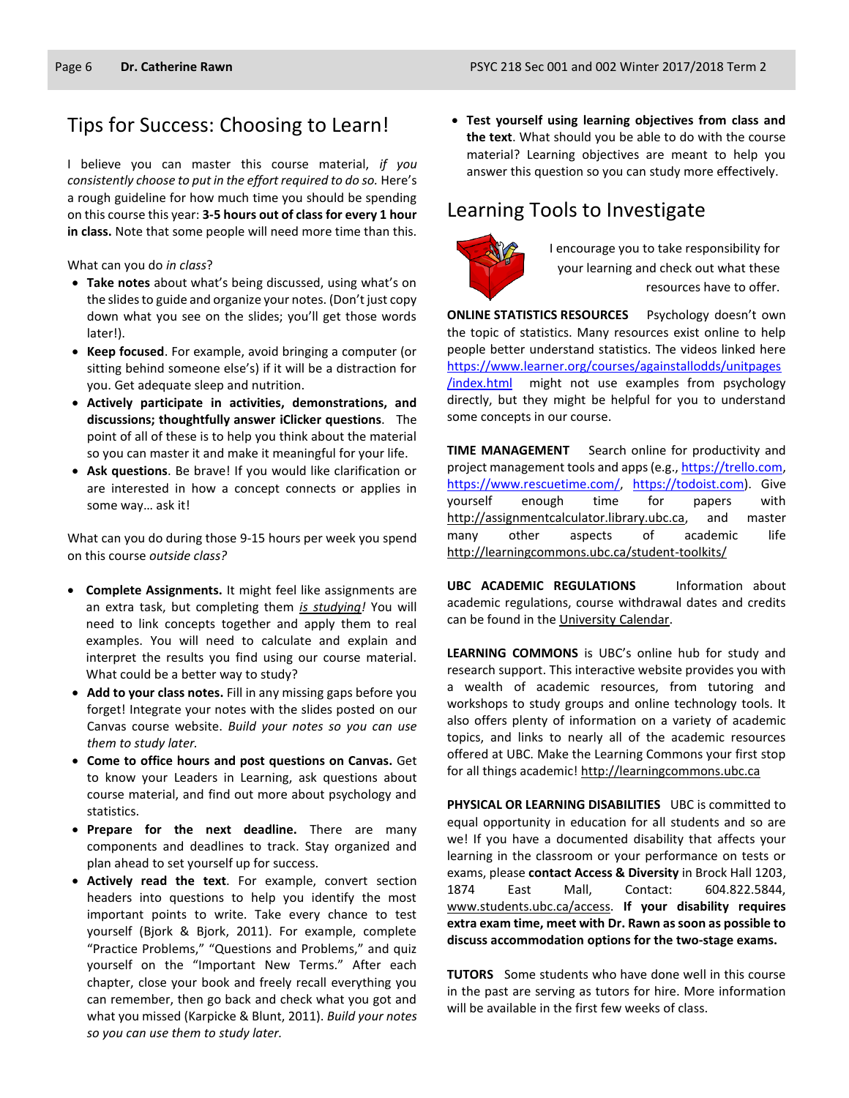### Tips for Success: Choosing to Learn!

I believe you can master this course material, *if you consistently choose to put in the effort required to do so.* Here's a rough guideline for how much time you should be spending on this course this year: **3-5 hours out of class for every 1 hour in class.** Note that some people will need more time than this.

What can you do *in class*?

- **Take notes** about what's being discussed, using what's on the slides to guide and organize your notes. (Don't just copy down what you see on the slides; you'll get those words later!).
- **Keep focused**. For example, avoid bringing a computer (or sitting behind someone else's) if it will be a distraction for you. Get adequate sleep and nutrition.
- **Actively participate in activities, demonstrations, and discussions; thoughtfully answer iClicker questions**. The point of all of these is to help you think about the material so you can master it and make it meaningful for your life.
- **Ask questions**. Be brave! If you would like clarification or are interested in how a concept connects or applies in some way… ask it!

What can you do during those 9-15 hours per week you spend on this course *outside class?*

- **Complete Assignments.** It might feel like assignments are an extra task, but completing them *is studying!* You will need to link concepts together and apply them to real examples. You will need to calculate and explain and interpret the results you find using our course material. What could be a better way to study?
- **Add to your class notes.** Fill in any missing gaps before you forget! Integrate your notes with the slides posted on our Canvas course website. *Build your notes so you can use them to study later.*
- **Come to office hours and post questions on Canvas.** Get to know your Leaders in Learning, ask questions about course material, and find out more about psychology and statistics.
- **Prepare for the next deadline.** There are many components and deadlines to track. Stay organized and plan ahead to set yourself up for success.
- **Actively read the text**. For example, convert section headers into questions to help you identify the most important points to write. Take every chance to test yourself (Bjork & Bjork, 2011). For example, complete "Practice Problems," "Questions and Problems," and quiz yourself on the "Important New Terms." After each chapter, close your book and freely recall everything you can remember, then go back and check what you got and what you missed (Karpicke & Blunt, 2011). *Build your notes so you can use them to study later.*

 **Test yourself using learning objectives from class and the text**. What should you be able to do with the course material? Learning objectives are meant to help you answer this question so you can study more effectively.

## Learning Tools to Investigate



I encourage you to take responsibility for your learning and check out what these resources have to offer.

**ONLINE STATISTICS RESOURCES** Psychology doesn't own the topic of statistics. Many resources exist online to help people better understand statistics. The videos linked here [https://www.learner.org/courses/againstallodds/unitpages](https://www.learner.org/courses/againstallodds/unitpages/index.html) [/index.html](https://www.learner.org/courses/againstallodds/unitpages/index.html) might not use examples from psychology directly, but they might be helpful for you to understand some concepts in our course.

**TIME MANAGEMENT** Search online for productivity and project management tools and apps (e.g.[, https://trello.com,](https://trello.com/) [https://www.rescuetime.com/,](https://www.rescuetime.com/) [https://todoist.com\)](https://todoist.com/). Give yourself enough time for papers with [http://assignmentcalculator.library.ubc.ca,](http://assignmentcalculator.library.ubc.ca/) and master many other aspects of academic life <http://learningcommons.ubc.ca/student-toolkits/>

**UBC ACADEMIC REGULATIONS** Information about academic regulations, course withdrawal dates and credits can be found in th[e University Calendar.](http://students.ubc.ca/calendar/academicyear.cfm)

**LEARNING COMMONS** is UBC's online hub for study and research support. This interactive website provides you with a wealth of academic resources, from tutoring and workshops to study groups and online technology tools. It also offers plenty of information on a variety of academic topics, and links to nearly all of the academic resources offered at UBC. Make the Learning Commons your first stop for all things academic! [http://learningcommons.ubc.ca](http://learningcommons.ubc.ca/)

**PHYSICAL OR LEARNING DISABILITIES** UBC is committed to equal opportunity in education for all students and so are we! If you have a documented disability that affects your learning in the classroom or your performance on tests or exams, please **contact Access & Diversity** in Brock Hall 1203, 1874 East Mall, Contact: 604.822.5844, [www.students.ubc.ca/access.](http://www.students.ubc.ca/access) **If your disability requires extra exam time, meet with Dr. Rawn as soon as possible to discuss accommodation options for the two-stage exams.**

**TUTORS** Some students who have done well in this course in the past are serving as tutors for hire. More information will be available in the first few weeks of class.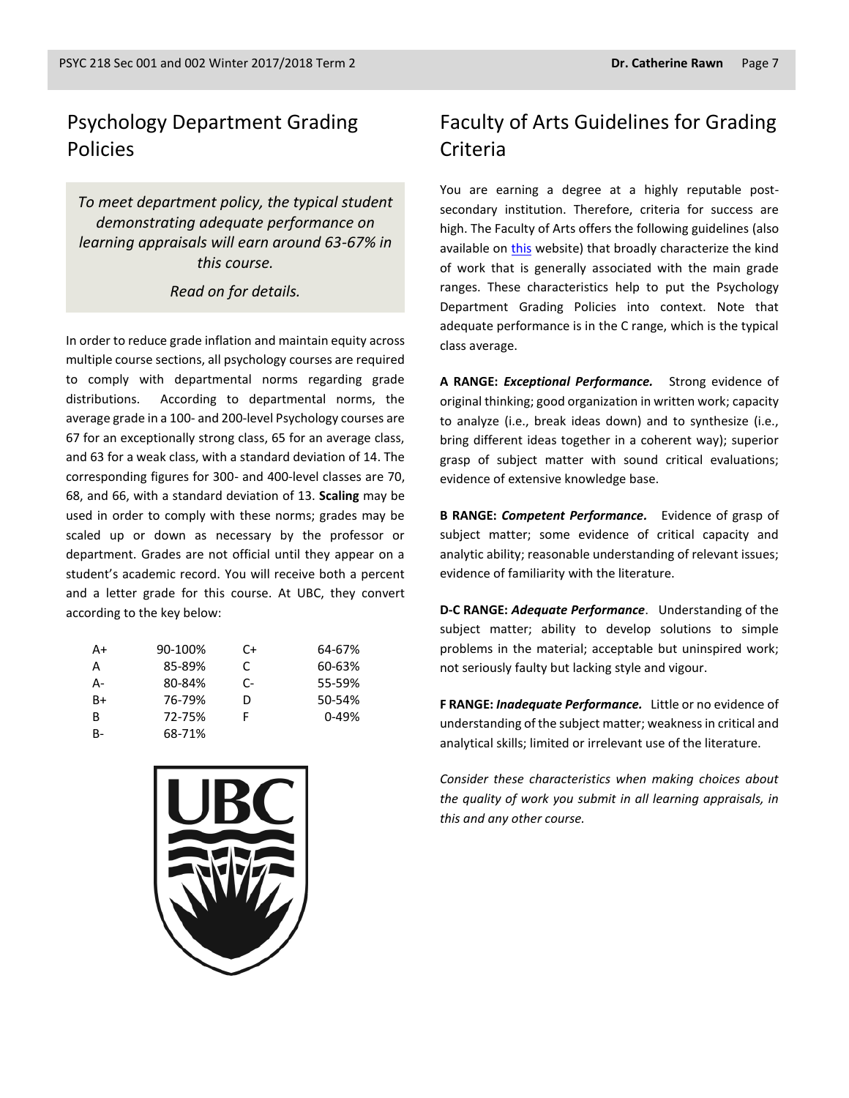# Psychology Department Grading Policies

*To meet department policy, the typical student demonstrating adequate performance on learning appraisals will earn around 63-67% in this course.* 

*Read on for details.*

In order to reduce grade inflation and maintain equity across multiple course sections, all psychology courses are required to comply with departmental norms regarding grade distributions. According to departmental norms, the average grade in a 100- and 200-level Psychology courses are 67 for an exceptionally strong class, 65 for an average class, and 63 for a weak class, with a standard deviation of 14. The corresponding figures for 300- and 400-level classes are 70, 68, and 66, with a standard deviation of 13. **Scaling** may be used in order to comply with these norms; grades may be scaled up or down as necessary by the professor or department. Grades are not official until they appear on a student's academic record. You will receive both a percent and a letter grade for this course. At UBC, they convert according to the key below:

| A+        | 90-100% | C+ | 64-67%    |
|-----------|---------|----|-----------|
| A         | 85-89%  | C  | 60-63%    |
| А-        | 80-84%  | C- | 55-59%    |
| $B+$      | 76-79%  | D  | 50-54%    |
| B         | 72-75%  | F  | $0 - 49%$ |
| <b>B-</b> | 68-71%  |    |           |



# Faculty of Arts Guidelines for Grading Criteria

You are earning a degree at a highly reputable postsecondary institution. Therefore, criteria for success are high. The Faculty of Arts offers the following guidelines (also available on [this](http://legacy.arts.ubc.ca/faculty-amp-staff/resources/courses-and-grading/grading-guidelines.html) website) that broadly characterize the kind of work that is generally associated with the main grade ranges. These characteristics help to put the Psychology Department Grading Policies into context. Note that adequate performance is in the C range, which is the typical class average.

**A RANGE:** *Exceptional Performance.* Strong evidence of original thinking; good organization in written work; capacity to analyze (i.e., break ideas down) and to synthesize (i.e., bring different ideas together in a coherent way); superior grasp of subject matter with sound critical evaluations; evidence of extensive knowledge base.

**B RANGE:** *Competent Performance.* Evidence of grasp of subject matter; some evidence of critical capacity and analytic ability; reasonable understanding of relevant issues; evidence of familiarity with the literature.

**D-C RANGE:** *Adequate Performance*. Understanding of the subject matter; ability to develop solutions to simple problems in the material; acceptable but uninspired work; not seriously faulty but lacking style and vigour.

**F RANGE:** *Inadequate Performance.* Little or no evidence of understanding of the subject matter; weakness in critical and analytical skills; limited or irrelevant use of the literature.

*Consider these characteristics when making choices about the quality of work you submit in all learning appraisals, in this and any other course.*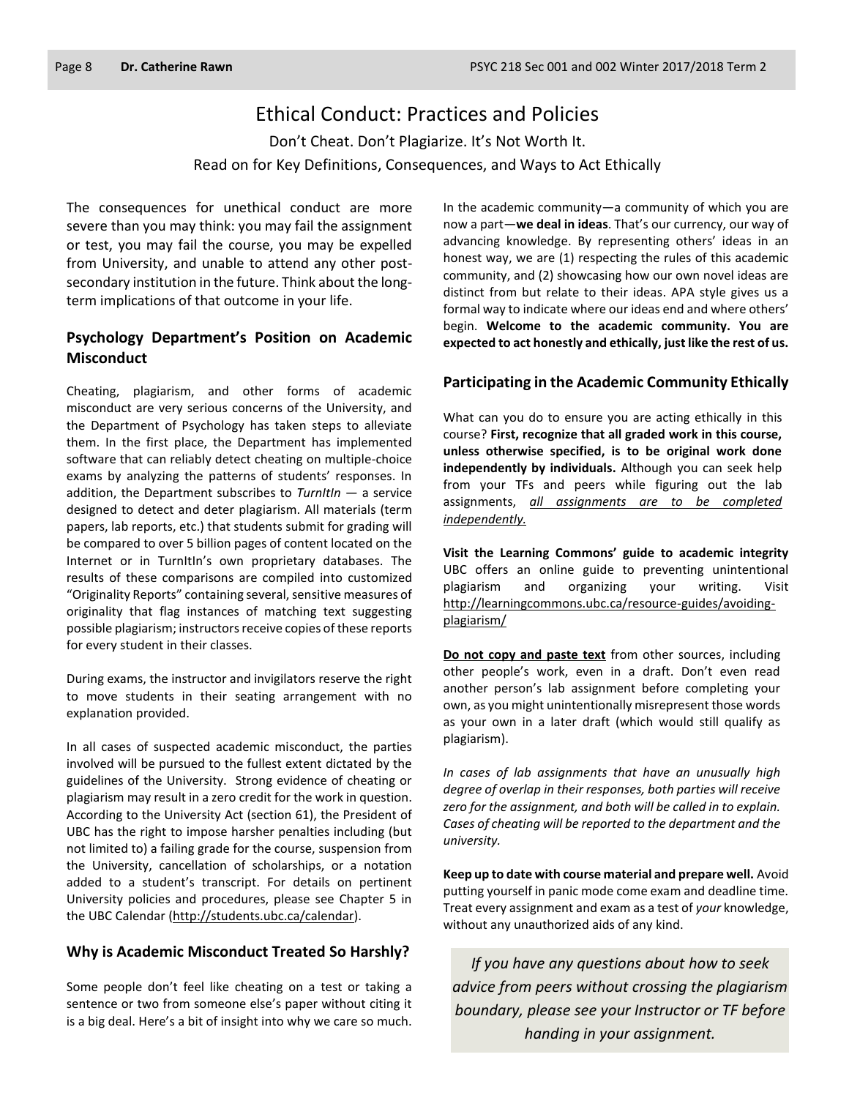### Ethical Conduct: Practices and Policies

Don't Cheat. Don't Plagiarize. It's Not Worth It. Read on for Key Definitions, Consequences, and Ways to Act Ethically

The consequences for unethical conduct are more severe than you may think: you may fail the assignment or test, you may fail the course, you may be expelled from University, and unable to attend any other postsecondary institution in the future. Think about the longterm implications of that outcome in your life.

#### **Psychology Department's Position on Academic Misconduct**

Cheating, plagiarism, and other forms of academic misconduct are very serious concerns of the University, and the Department of Psychology has taken steps to alleviate them. In the first place, the Department has implemented software that can reliably detect cheating on multiple-choice exams by analyzing the patterns of students' responses. In addition, the Department subscribes to *TurnItIn* — a service designed to detect and deter plagiarism. All materials (term papers, lab reports, etc.) that students submit for grading will be compared to over 5 billion pages of content located on the Internet or in TurnItIn's own proprietary databases. The results of these comparisons are compiled into customized "Originality Reports" containing several, sensitive measures of originality that flag instances of matching text suggesting possible plagiarism; instructors receive copies of these reports for every student in their classes.

During exams, the instructor and invigilators reserve the right to move students in their seating arrangement with no explanation provided.

In all cases of suspected academic misconduct, the parties involved will be pursued to the fullest extent dictated by the guidelines of the University. Strong evidence of cheating or plagiarism may result in a zero credit for the work in question. According to the University Act (section 61), the President of UBC has the right to impose harsher penalties including (but not limited to) a failing grade for the course, suspension from the University, cancellation of scholarships, or a notation added to a student's transcript. For details on pertinent University policies and procedures, please see Chapter 5 in the UBC Calendar [\(http://students.ubc.ca/calendar\)](http://students.ubc.ca/calendar).

#### **Why is Academic Misconduct Treated So Harshly?**

Some people don't feel like cheating on a test or taking a sentence or two from someone else's paper without citing it is a big deal. Here's a bit of insight into why we care so much.

In the academic community—a community of which you are now a part—**we deal in ideas**. That's our currency, our way of advancing knowledge. By representing others' ideas in an honest way, we are (1) respecting the rules of this academic community, and (2) showcasing how our own novel ideas are distinct from but relate to their ideas. APA style gives us a formal way to indicate where our ideas end and where others' begin. **Welcome to the academic community. You are expected to act honestly and ethically, just like the rest of us.**

#### **Participating in the Academic Community Ethically**

What can you do to ensure you are acting ethically in this course? **First, recognize that all graded work in this course, unless otherwise specified, is to be original work done independently by individuals.** Although you can seek help from your TFs and peers while figuring out the lab assignments, *all assignments are to be completed independently.*

**Visit the Learning Commons' guide to academic integrity**  UBC offers an online guide to preventing unintentional plagiarism and organizing your writing. Visit [http://learningcommons.ubc.ca/resource-guides/avoiding](http://learningcommons.ubc.ca/resource-guides/avoiding-plagiarism/)[plagiarism/](http://learningcommons.ubc.ca/resource-guides/avoiding-plagiarism/)

**Do not copy and paste text** from other sources, including other people's work, even in a draft. Don't even read another person's lab assignment before completing your own, as you might unintentionally misrepresent those words as your own in a later draft (which would still qualify as plagiarism).

*In cases of lab assignments that have an unusually high degree of overlap in their responses, both parties will receive zero for the assignment, and both will be called in to explain. Cases of cheating will be reported to the department and the university.*

**Keep up to date with course material and prepare well.** Avoid putting yourself in panic mode come exam and deadline time. Treat every assignment and exam as a test of *your* knowledge, without any unauthorized aids of any kind.

*If you have any questions about how to seek advice from peers without crossing the plagiarism boundary, please see your Instructor or TF before handing in your assignment.*